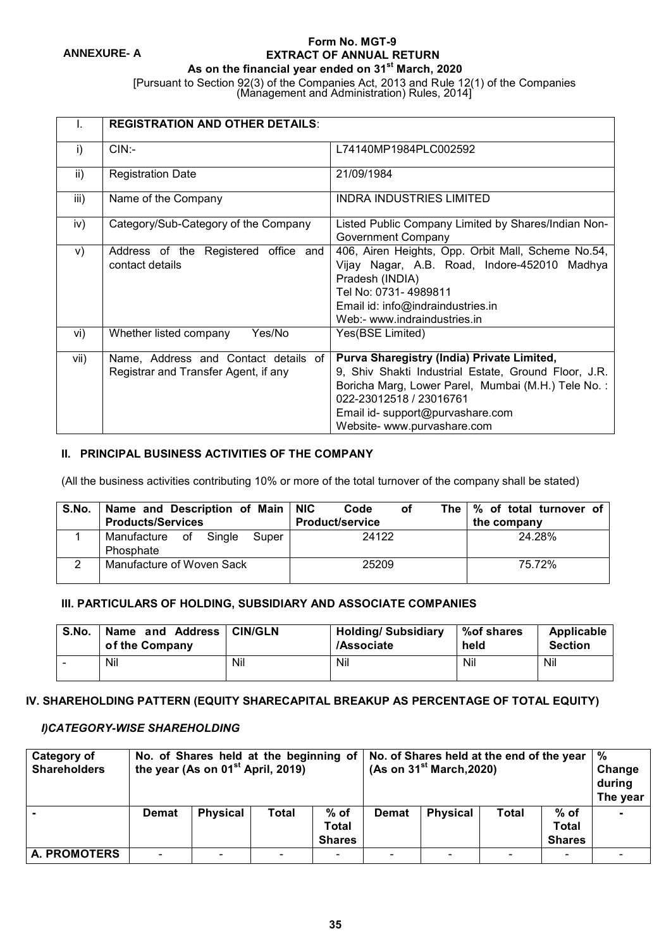#### **Form No. MGT-9 EXTRACT OF ANNUAL RETURN As on the financial year ended on 31st March, 2020**

[Pursuant to Section 92(3) of the Companies Act, 2013 and Rule 12(1) of the Companies

(Management and Administration) Rules, 2014]

|      | <b>REGISTRATION AND OTHER DETAILS:</b>                                       |                                                                                                                                                                                                                                                        |
|------|------------------------------------------------------------------------------|--------------------------------------------------------------------------------------------------------------------------------------------------------------------------------------------------------------------------------------------------------|
| i)   | $CIN$ :-                                                                     | L74140MP1984PLC002592                                                                                                                                                                                                                                  |
| ii)  | <b>Registration Date</b>                                                     | 21/09/1984                                                                                                                                                                                                                                             |
| iii) | Name of the Company                                                          | <b>INDRA INDUSTRIES LIMITED</b>                                                                                                                                                                                                                        |
| iv)  | Category/Sub-Category of the Company                                         | Listed Public Company Limited by Shares/Indian Non-<br><b>Government Company</b>                                                                                                                                                                       |
| V)   | Address of the Registered office and<br>contact details                      | 406, Airen Heights, Opp. Orbit Mall, Scheme No.54,<br>Vijay Nagar, A.B. Road, Indore-452010 Madhya<br>Pradesh (INDIA)<br>Tel No: 0731-4989811<br>Email id: info@indraindustries.in<br>Web:- www.indraindustries.in                                     |
| vi)  | Yes/No<br>Whether listed company                                             | Yes(BSE Limited)                                                                                                                                                                                                                                       |
| vii) | Name, Address and Contact details of<br>Registrar and Transfer Agent, if any | Purva Sharegistry (India) Private Limited,<br>9, Shiv Shakti Industrial Estate, Ground Floor, J.R.<br>Boricha Marg, Lower Parel, Mumbai (M.H.) Tele No.:<br>022-23012518 / 23016761<br>Email id- support@purvashare.com<br>Website- www.purvashare.com |

## **II. PRINCIPAL BUSINESS ACTIVITIES OF THE COMPANY**

(All the business activities contributing 10% or more of the total turnover of the company shall be stated)

| S.No. | Name and Description of Main<br><b>Products/Services</b> | <b>NIC</b><br>Code<br>of<br><b>Product/service</b> | The $\frac{1}{2}$ of total turnover of<br>the company |  |  |
|-------|----------------------------------------------------------|----------------------------------------------------|-------------------------------------------------------|--|--|
|       | Sinale<br>Manufacture of<br>Super<br>Phosphate           | 24122                                              | 24.28%                                                |  |  |
|       | Manufacture of Woven Sack                                | 25209                                              | 75.72%                                                |  |  |

#### **III. PARTICULARS OF HOLDING, SUBSIDIARY AND ASSOCIATE COMPANIES**

| S.No. | Name and Address   CIN/GLN<br>of the Company |     | Holding/Subsidiary<br>/Associate | %of shares<br>held | Applicable<br><b>Section</b> |
|-------|----------------------------------------------|-----|----------------------------------|--------------------|------------------------------|
| -     | Nil                                          | Nil | Nil                              | Nil                | Nil                          |

### **IV. SHAREHOLDING PATTERN (EQUITY SHARECAPITAL BREAKUP AS PERCENTAGE OF TOTAL EQUITY)**

#### *I)CATEGORY-WISE SHAREHOLDING*

| <b>Category of</b><br><b>Shareholders</b> |              | No. of Shares held at the beginning of<br>the year (As on 01 <sup>st</sup> April, 2019) |              |                                         |              |                 | No. of Shares held at the end of the year<br>(As on $31st March, 2020$ ) |                                       |  |  |
|-------------------------------------------|--------------|-----------------------------------------------------------------------------------------|--------------|-----------------------------------------|--------------|-----------------|--------------------------------------------------------------------------|---------------------------------------|--|--|
|                                           | <b>Demat</b> | <b>Physical</b>                                                                         | <b>Total</b> | $%$ of<br><b>Total</b><br><b>Shares</b> | <b>Demat</b> | <b>Physical</b> | <b>Total</b>                                                             | % of<br><b>Total</b><br><b>Shares</b> |  |  |
| <b>A. PROMOTERS</b>                       |              |                                                                                         |              | $\overline{\phantom{0}}$                |              |                 |                                                                          |                                       |  |  |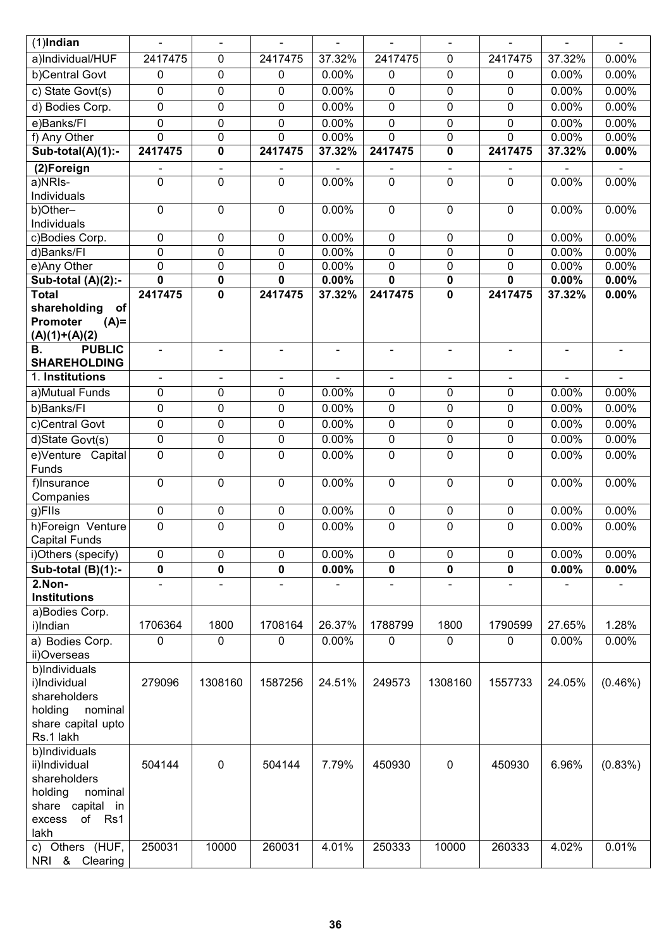| $(1)$ Indian                                                                                                         | ä,                                          | $\blacksquare$                | $\blacksquare$           | $\blacksquare$ | $\blacksquare$                          | $\blacksquare$             | $\blacksquare$ | $\blacksquare$ | $\blacksquare$ |
|----------------------------------------------------------------------------------------------------------------------|---------------------------------------------|-------------------------------|--------------------------|----------------|-----------------------------------------|----------------------------|----------------|----------------|----------------|
| a)Individual/HUF                                                                                                     | 2417475                                     | $\mathbf 0$                   | 2417475                  | 37.32%         | 2417475                                 | $\mathbf 0$                | 2417475        | 37.32%         | 0.00%          |
| b)Central Govt                                                                                                       | $\pmb{0}$                                   | $\mathbf 0$                   | 0                        | 0.00%          | $\pmb{0}$                               | $\pmb{0}$                  | $\mathbf 0$    | 0.00%          | 0.00%          |
| c) State Govt(s)                                                                                                     | $\mathbf 0$                                 | $\mathbf 0$                   | 0                        | 0.00%          | 0                                       | $\mathbf 0$                | 0              | 0.00%          | 0.00%          |
| d) Bodies Corp.                                                                                                      | $\mathbf 0$                                 | 0                             | 0                        | 0.00%          | $\mathbf 0$                             | 0                          | 0              | 0.00%          | 0.00%          |
|                                                                                                                      |                                             |                               |                          |                |                                         |                            |                |                |                |
| e)Banks/FI                                                                                                           | $\mathbf 0$<br>0                            | $\mathbf 0$<br>$\mathbf 0$    | 0                        | 0.00%<br>0.00% | $\mathbf 0$<br>$\mathbf 0$              | $\mathbf 0$<br>$\mathbf 0$ | 0              | 0.00%<br>0.00% | 0.00%<br>0.00% |
| f) Any Other<br>Sub-total(A)(1):-                                                                                    | 2417475                                     | $\mathbf 0$                   | 0<br>2417475             | 37.32%         | 2417475                                 | 0                          | 0<br>2417475   | 37.32%         | 0.00%          |
|                                                                                                                      |                                             |                               |                          |                |                                         |                            |                |                |                |
| (2)Foreign<br>a)NRIs-                                                                                                | $\qquad \qquad \blacksquare$<br>$\mathbf 0$ | $\blacksquare$<br>$\mathbf 0$ | $\blacksquare$<br>0      | 0.00%          | $\overline{\phantom{a}}$<br>$\mathbf 0$ | $\overline{\phantom{a}}$   | $\mathbf 0$    | 0.00%          | 0.00%          |
| Individuals                                                                                                          |                                             |                               |                          |                |                                         | 0                          |                |                |                |
| b)Other-                                                                                                             | $\mathbf 0$                                 | $\mathbf 0$                   | $\pmb{0}$                | 0.00%          | $\pmb{0}$                               | $\mathbf 0$                | $\pmb{0}$      | 0.00%          | 0.00%          |
| Individuals                                                                                                          |                                             |                               |                          |                |                                         |                            |                |                |                |
| c)Bodies Corp.                                                                                                       | $\mathbf 0$                                 | $\mathbf 0$                   | $\pmb{0}$                | 0.00%          | $\mathbf 0$                             | $\mathbf 0$                | $\mathbf 0$    | 0.00%          | 0.00%          |
| d)Banks/Fl                                                                                                           | $\mathbf 0$                                 | $\mathbf 0$                   | 0                        | 0.00%          | $\mathbf 0$                             | $\mathbf 0$                | 0              | 0.00%          | 0.00%          |
| e)Any Other                                                                                                          | $\overline{0}$                              | $\mathbf 0$                   | 0                        | 0.00%          | 0                                       | 0                          | 0              | 0.00%          | 0.00%          |
| Sub-total (A)(2):-                                                                                                   | $\mathbf 0$                                 | $\mathbf 0$                   | $\mathbf 0$              | 0.00%          | $\mathbf 0$                             | 0                          | 0              | 0.00%          | 0.00%          |
| <b>Total</b>                                                                                                         | 2417475                                     | $\mathbf 0$                   | 2417475                  | 37.32%         | 2417475                                 | $\mathbf 0$                | 2417475        | 37.32%         | 0.00%          |
| shareholding<br>of                                                                                                   |                                             |                               |                          |                |                                         |                            |                |                |                |
| Promoter<br>$(A)=$<br>$(A)(1)+(A)(2)$                                                                                |                                             |                               |                          |                |                                         |                            |                |                |                |
| <b>PUBLIC</b><br>В.                                                                                                  |                                             | L.                            | $\overline{\phantom{0}}$ | $\blacksquare$ |                                         |                            |                |                |                |
| <b>SHAREHOLDING</b>                                                                                                  |                                             |                               |                          |                |                                         |                            |                |                |                |
| 1. Institutions                                                                                                      | $\overline{\phantom{a}}$                    | Ξ.                            | $\overline{\phantom{a}}$ |                |                                         |                            |                |                |                |
| a)Mutual Funds                                                                                                       | $\mathbf 0$                                 | $\mathbf 0$                   | $\mathbf 0$              | 0.00%          | 0                                       | $\mathbf 0$                | 0              | 0.00%          | 0.00%          |
| b)Banks/Fl                                                                                                           | $\mathbf 0$                                 | 0                             | 0                        | 0.00%          | $\mathbf 0$                             | 0                          | 0              | 0.00%          | 0.00%          |
| c)Central Govt                                                                                                       | $\overline{0}$                              | $\mathbf 0$                   | $\pmb{0}$                | 0.00%          | $\pmb{0}$                               | $\pmb{0}$                  | $\pmb{0}$      | 0.00%          | 0.00%          |
| d)State Govt(s)                                                                                                      | $\pmb{0}$                                   | $\pmb{0}$                     | 0                        | 0.00%          | $\pmb{0}$                               | $\pmb{0}$                  | $\pmb{0}$      | 0.00%          | 0.00%          |
| e)Venture Capital<br>Funds                                                                                           | $\overline{0}$                              | $\mathbf 0$                   | 0                        | 0.00%          | 0                                       | $\mathbf 0$                | 0              | 0.00%          | 0.00%          |
| f)Insurance<br>Companies                                                                                             | $\mathbf 0$                                 | $\mathbf 0$                   | 0                        | 0.00%          | 0                                       | $\mathbf 0$                | 0              | 0.00%          | 0.00%          |
| g)Flls                                                                                                               | $\mathbf 0$                                 | $\mathbf 0$                   | 0                        | 0.00%          | $\pmb{0}$                               | $\mathbf 0$                | $\pmb{0}$      | 0.00%          | 0.00%          |
| h)Foreign Venture<br>Capital Funds                                                                                   | $\mathbf 0$                                 | $\mathbf 0$                   | 0                        | 0.00%          | $\mathbf 0$                             | $\mathbf 0$                | $\mathbf 0$    | 0.00%          | 0.00%          |
| i)Others (specify)                                                                                                   | $\mathbf 0$                                 | $\pmb{0}$                     | $\mathbf 0$              | 0.00%          | $\pmb{0}$                               | $\mathbf 0$                | 0              | 0.00%          | 0.00%          |
| Sub-total $(B)(1)$ :-                                                                                                | 0                                           | $\mathbf 0$                   | $\mathbf 0$              | 0.00%          | $\mathbf 0$                             | $\pmb{0}$                  | 0              | 0.00%          | 0.00%          |
| 2.Non-                                                                                                               | $\overline{\phantom{a}}$                    | $\blacksquare$                | $\overline{a}$           |                | $\blacksquare$                          | $\blacksquare$             |                |                |                |
| <b>Institutions</b>                                                                                                  |                                             |                               |                          |                |                                         |                            |                |                |                |
| a)Bodies Corp.<br>i)Indian                                                                                           | 1706364                                     | 1800                          | 1708164                  | 26.37%         | 1788799                                 | 1800                       | 1790599        | 27.65%         | 1.28%          |
| a) Bodies Corp.                                                                                                      | $\mathbf 0$                                 | $\mathbf 0$                   | $\mathbf 0$              | 0.00%          | 0                                       | $\mathbf{0}$               | $\mathbf 0$    | 0.00%          | 0.00%          |
| ii)Overseas                                                                                                          |                                             |                               |                          |                |                                         |                            |                |                |                |
| b)Individuals<br>i)Individual<br>shareholders<br>holding<br>nominal<br>share capital upto<br>Rs.1 lakh               | 279096                                      | 1308160                       | 1587256                  | 24.51%         | 249573                                  | 1308160                    | 1557733        | 24.05%         | $(0.46\%)$     |
| b)Individuals<br>ii)Individual<br>shareholders<br>holding<br>nominal<br>share capital in<br>of Rs1<br>excess<br>lakh | 504144                                      | $\mathbf 0$                   | 504144                   | 7.79%          | 450930                                  | $\mathbf 0$                | 450930         | 6.96%          | (0.83%)        |
| c) Others (HUF,<br>NRI & Clearing                                                                                    | 250031                                      | 10000                         | 260031                   | 4.01%          | 250333                                  | 10000                      | 260333         | 4.02%          | 0.01%          |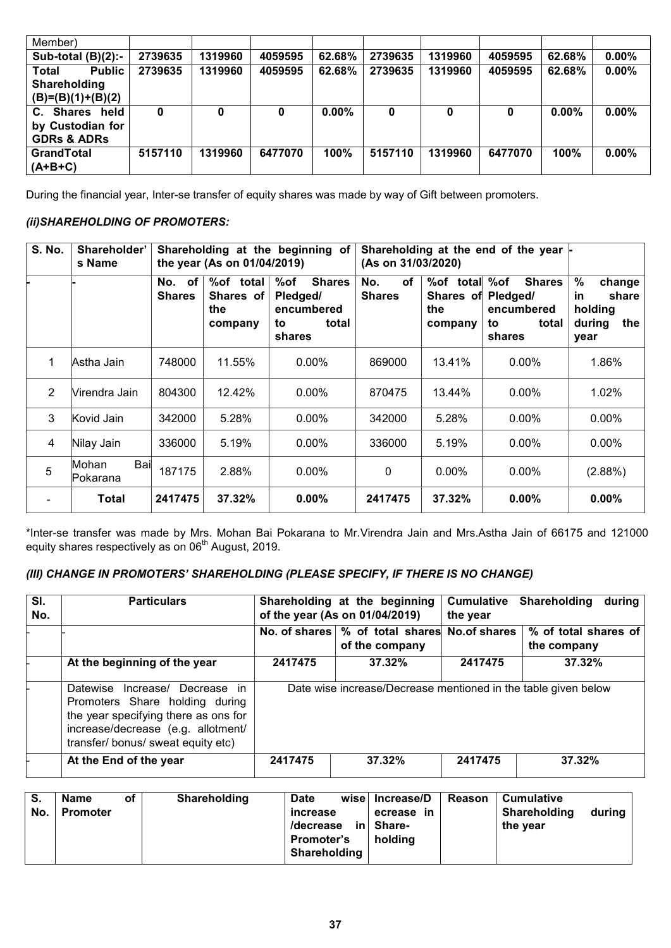| Member)                |         |         |         |          |         |         |         |          |          |
|------------------------|---------|---------|---------|----------|---------|---------|---------|----------|----------|
| Sub-total $(B)(2)$ :-  | 2739635 | 1319960 | 4059595 | 62.68%   | 2739635 | 1319960 | 4059595 | 62.68%   | $0.00\%$ |
| <b>Public</b><br>Total | 2739635 | 1319960 | 4059595 | 62.68%   | 2739635 | 1319960 | 4059595 | 62.68%   | $0.00\%$ |
| Shareholding           |         |         |         |          |         |         |         |          |          |
| $(B)=(B)(1)+(B)(2)$    |         |         |         |          |         |         |         |          |          |
| held<br>C. Shares      | 0       |         | 0       | $0.00\%$ | 0       |         | 0       | $0.00\%$ | $0.00\%$ |
| by Custodian for       |         |         |         |          |         |         |         |          |          |
| <b>GDRs &amp; ADRs</b> |         |         |         |          |         |         |         |          |          |
| <b>GrandTotal</b>      | 5157110 | 1319960 | 6477070 | 100%     | 5157110 | 1319960 | 6477070 | 100%     | $0.00\%$ |
| $(A+B+C)$              |         |         |         |          |         |         |         |          |          |

During the financial year, Inter-se transfer of equity shares was made by way of Gift between promoters.

## *(ii)SHAREHOLDING OF PROMOTERS:*

| <b>S. No.</b> | Shareholder'<br>s Name    |                                   | the year (As on 01/04/2019)              | Shareholding at the beginning of                                        | (As on 31/03/2020)                | Shareholding at the end of the year $\vdash$ |                                                                         |                                                                   |
|---------------|---------------------------|-----------------------------------|------------------------------------------|-------------------------------------------------------------------------|-----------------------------------|----------------------------------------------|-------------------------------------------------------------------------|-------------------------------------------------------------------|
|               |                           | <b>of</b><br>No.<br><b>Shares</b> | %of total<br>Shares of<br>the<br>company | %of<br><b>Shares</b><br>Pledged/<br>encumbered<br>total<br>to<br>shares | <b>of</b><br>No.<br><b>Shares</b> | %of total<br>Shares of<br>the<br>company     | %of<br><b>Shares</b><br>Pledged/<br>encumbered<br>total<br>to<br>shares | $\%$<br>change<br>in<br>share<br>holding<br>during<br>the<br>year |
|               | Astha Jain                | 748000                            | 11.55%                                   | $0.00\%$                                                                | 869000                            | 13.41%                                       | $0.00\%$                                                                | 1.86%                                                             |
| 2             | Virendra Jain             | 804300                            | 12.42%                                   | $0.00\%$                                                                | 870475                            | 13.44%                                       | $0.00\%$                                                                | 1.02%                                                             |
| 3             | Kovid Jain                | 342000                            | 5.28%                                    | $0.00\%$                                                                | 342000                            | 5.28%                                        | $0.00\%$                                                                | $0.00\%$                                                          |
| 4             | Nilay Jain                | 336000                            | 5.19%                                    | $0.00\%$                                                                | 336000                            | 5.19%                                        | $0.00\%$                                                                | $0.00\%$                                                          |
| 5             | Bail<br>Mohan<br>Pokarana | 187175                            | 2.88%                                    | $0.00\%$                                                                | $\mathbf{0}$                      | $0.00\%$                                     | $0.00\%$                                                                | (2.88%)                                                           |
|               | Total                     | 2417475                           | 37.32%                                   | $0.00\%$                                                                | 2417475                           | 37.32%                                       | $0.00\%$                                                                | $0.00\%$                                                          |

\*Inter-se transfer was made by Mrs. Mohan Bai Pokarana to Mr.Virendra Jain and Mrs.Astha Jain of 66175 and 121000 equity shares respectively as on 06<sup>th</sup> August, 2019.

## *(III) CHANGE IN PROMOTERS' SHAREHOLDING (PLEASE SPECIFY, IF THERE IS NO CHANGE)*

| SI.<br>No. | <b>Particulars</b>                                                                                                                                                                           |         | Shareholding at the beginning<br>of the year (As on 01/04/2019)   | <b>Cumulative</b><br>Shareholding<br>during<br>the year |                                     |  |
|------------|----------------------------------------------------------------------------------------------------------------------------------------------------------------------------------------------|---------|-------------------------------------------------------------------|---------------------------------------------------------|-------------------------------------|--|
|            |                                                                                                                                                                                              |         | No. of shares   % of total shares No. of shares<br>of the company |                                                         | % of total shares of<br>the company |  |
|            | At the beginning of the year                                                                                                                                                                 | 2417475 | 37.32%                                                            | 2417475                                                 | 37.32%                              |  |
|            | Increase/ Decrease in<br><b>Datewise</b><br>Promoters Share holding during<br>the year specifying there as ons for<br>increase/decrease (e.g. allotment/<br>transfer/bonus/sweat equity etc) |         | Date wise increase/Decrease mentioned in the table given below    |                                                         |                                     |  |
|            | At the End of the year                                                                                                                                                                       | 2417475 | 37.32%                                                            | 2417475                                                 | 37.32%                              |  |

| S.<br>No. | <b>Name</b><br><b>Promoter</b> | οf | Shareholding | <b>Date</b><br>increase<br>/decrease<br><b>Promoter's</b><br>Shareholding | wise<br>in l | Increase/D<br>in<br>ecrease<br>Share-<br>holdina | Reason | <b>Cumulative</b><br>Shareholding<br>the year | during |
|-----------|--------------------------------|----|--------------|---------------------------------------------------------------------------|--------------|--------------------------------------------------|--------|-----------------------------------------------|--------|
|-----------|--------------------------------|----|--------------|---------------------------------------------------------------------------|--------------|--------------------------------------------------|--------|-----------------------------------------------|--------|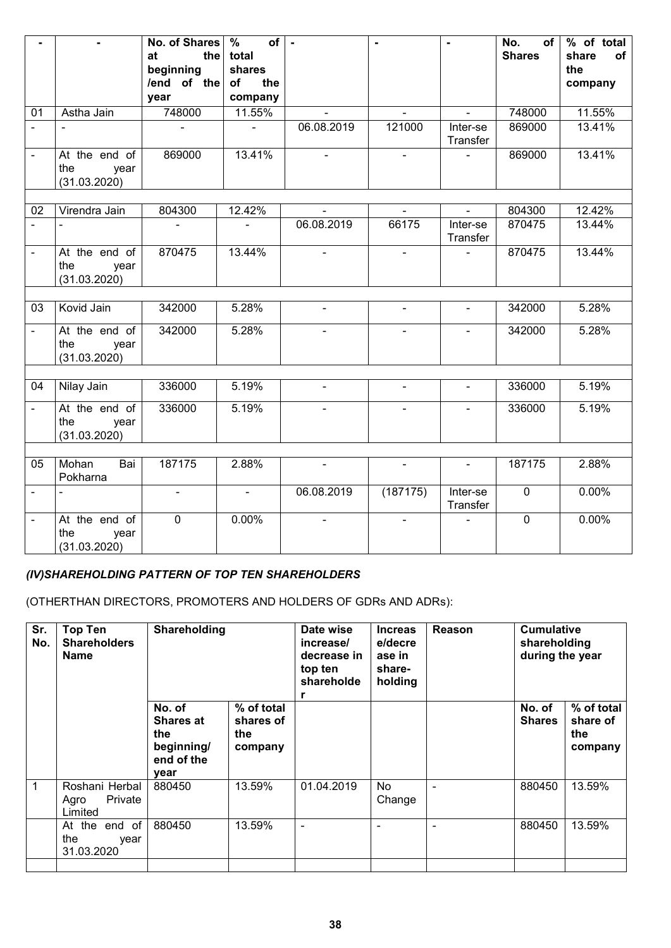|                |                                              | No. of Shares   %               | of                  | $\sim$         |                | $\blacksquare$       | No.<br>of l    | % of total     |
|----------------|----------------------------------------------|---------------------------------|---------------------|----------------|----------------|----------------------|----------------|----------------|
|                |                                              | at                              | the total           |                |                |                      | <b>Shares</b>  | share<br>0f    |
|                |                                              | beginning<br>/end of the of the | shares              |                |                |                      |                | the<br>company |
|                |                                              | year                            | company             |                |                |                      |                |                |
| 01             | Astha Jain                                   | 748000                          | 11.55%              |                | $\blacksquare$ | $\blacksquare$       | 748000         | 11.55%         |
| $\blacksquare$ |                                              |                                 | $\sim$              | 06.08.2019     | 121000         | Inter-se<br>Transfer | 869000         | 13.41%         |
| $\blacksquare$ | At the end of<br>the<br>year<br>(31.03.2020) | 869000                          | 13.41%              | $\mathcal{L}$  | $\sim$         | $\sim$               | 869000         | 13.41%         |
| 02             | Virendra Jain                                | 804300                          | 12.42%              |                | $\blacksquare$ | $\blacksquare$       | 804300         | 12.42%         |
| $\blacksquare$ |                                              |                                 | $\blacksquare$      | 06.08.2019     | 66175          | Inter-se<br>Transfer | 870475         | 13.44%         |
| $\blacksquare$ | At the end of<br>the<br>year<br>(31.03.2020) | 870475                          | 13.44%              | $\blacksquare$ | $\blacksquare$ | $\sim$               | 870475         | 13.44%         |
|                |                                              |                                 |                     |                |                |                      |                |                |
| 03             | Kovid Jain                                   | 342000                          | 5.28%               | $\blacksquare$ | $\blacksquare$ | $\blacksquare$       | 342000         | 5.28%          |
| $ \,$          | At the end of<br>the<br>year<br>(31.03.2020) | 342000                          | $\overline{5.28\%}$ | $\blacksquare$ | $\sim$         | $\blacksquare$       | 342000         | 5.28%          |
|                |                                              |                                 |                     |                |                |                      |                |                |
| 04             | Nilay Jain                                   | 336000                          | 5.19%               | $\blacksquare$ | $\equiv$       | $\equiv$             | 336000         | 5.19%          |
| $\blacksquare$ | At the end of<br>the<br>year<br>(31.03.2020) | 336000                          | 5.19%               |                |                | $\blacksquare$       | 336000         | 5.19%          |
|                |                                              |                                 |                     |                |                |                      |                |                |
| 05             | Mohan<br>Bai<br>Pokharna                     | 187175                          | 2.88%               | $\sim$         | $\sim$         | $\sim$               | 187175         | 2.88%          |
| $\sim$         | $\blacksquare$                               | $\blacksquare$                  | $\sim$              | 06.08.2019     | (187175)       | Inter-se<br>Transfer | $\overline{0}$ | 0.00%          |
| $\blacksquare$ | At the end of<br>the<br>year<br>(31.03.2020) | $\overline{0}$                  | 0.00%               |                | $\blacksquare$ |                      | $\overline{0}$ | 0.00%          |

# *(IV)SHAREHOLDING PATTERN OF TOP TEN SHAREHOLDERS*

(OTHERTHAN DIRECTORS, PROMOTERS AND HOLDERS OF GDRs AND ADRs):

| Sr.<br>No. | <b>Top Ten</b><br><b>Shareholders</b><br>Name | Shareholding                                                          |                                           | Date wise<br>increase/<br>decrease in<br>top ten<br>shareholde<br>r | <b>Increas</b><br>e/decre<br>ase in<br>share-<br>holding | Reason | <b>Cumulative</b><br>shareholding<br>during the year |                                          |
|------------|-----------------------------------------------|-----------------------------------------------------------------------|-------------------------------------------|---------------------------------------------------------------------|----------------------------------------------------------|--------|------------------------------------------------------|------------------------------------------|
|            |                                               | No. of<br><b>Shares at</b><br>the<br>beginning/<br>end of the<br>year | % of total<br>shares of<br>the<br>company |                                                                     |                                                          |        | No. of<br><b>Shares</b>                              | % of total<br>share of<br>the<br>company |
| 1          | Roshani Herbal<br>Private<br>Agro<br>Limited  | 880450                                                                | 13.59%                                    | 01.04.2019                                                          | No<br>Change                                             |        | 880450                                               | 13.59%                                   |
|            | At the end of<br>the<br>year<br>31.03.2020    | 880450                                                                | 13.59%                                    | ٠                                                                   |                                                          | ÷      | 880450                                               | 13.59%                                   |
|            |                                               |                                                                       |                                           |                                                                     |                                                          |        |                                                      |                                          |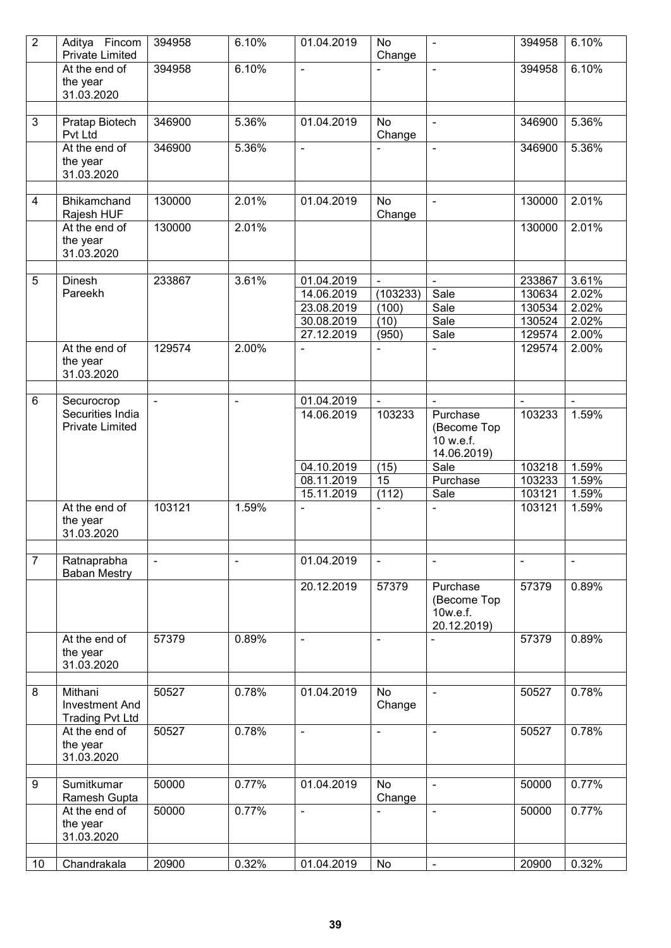| $\overline{2}$ | Aditya Fincom<br>Private Limited   | 394958         | 6.10%          | 01.04.2019               | No<br>Change   |                          | 394958           | 6.10%          |
|----------------|------------------------------------|----------------|----------------|--------------------------|----------------|--------------------------|------------------|----------------|
|                | At the end of                      | 394958         | 6.10%          | $\overline{\phantom{a}}$ |                | $\blacksquare$           | 394958           | 6.10%          |
|                | the year                           |                |                |                          |                |                          |                  |                |
|                | 31.03.2020                         |                |                |                          |                |                          |                  |                |
| 3              | Pratap Biotech                     | 346900         | 5.36%          | 01.04.2019               | <b>No</b>      | $\blacksquare$           | 346900           | 5.36%          |
|                | Pvt Ltd                            |                |                |                          | Change         |                          |                  |                |
|                | At the end of                      | 346900         | 5.36%          | $\Box$                   |                | $\blacksquare$           | 346900           | 5.36%          |
|                | the year                           |                |                |                          |                |                          |                  |                |
|                | 31.03.2020                         |                |                |                          |                |                          |                  |                |
| 4              | Bhikamchand                        | 130000         | 2.01%          | 01.04.2019               | <b>No</b>      | $\blacksquare$           | 130000           | 2.01%          |
|                | Rajesh HUF                         |                |                |                          | Change         |                          |                  |                |
|                | At the end of                      | 130000         | 2.01%          |                          |                |                          | 130000           | 2.01%          |
|                | the year                           |                |                |                          |                |                          |                  |                |
|                | 31.03.2020                         |                |                |                          |                |                          |                  |                |
| 5              | <b>Dinesh</b>                      | 233867         | 3.61%          | 01.04.2019               | $\blacksquare$ |                          | 233867           | 3.61%          |
|                | Pareekh                            |                |                | 14.06.2019               | (103233)       | Sale                     | 130634           | 2.02%          |
|                |                                    |                |                | 23.08.2019               | (100)          | Sale                     | 130534           | 2.02%          |
|                |                                    |                |                | 30.08.2019               | (10)           | Sale                     | 130524           | 2.02%          |
|                |                                    |                |                | 27.12.2019               | (950)          | Sale                     | 129574           | 2.00%          |
|                | At the end of                      | 129574         | 2.00%          | $\blacksquare$           |                | $\blacksquare$           | 129574           | 2.00%          |
|                | the year<br>31.03.2020             |                |                |                          |                |                          |                  |                |
|                |                                    |                |                |                          |                |                          |                  |                |
| 6              | Securocrop                         |                | $\blacksquare$ | 01.04.2019               |                |                          |                  |                |
|                | Securities India                   |                |                | 14.06.2019               | 103233         | Purchase                 | 103233           | 1.59%          |
|                | <b>Private Limited</b>             |                |                |                          |                | (Become Top              |                  |                |
|                |                                    |                |                |                          |                | 10 w.e.f.                |                  |                |
|                |                                    |                |                |                          |                | 14.06.2019)              |                  |                |
|                |                                    |                |                | 04.10.2019<br>08.11.2019 | (15)<br>15     | Sale<br>Purchase         | 103218<br>103233 | 1.59%<br>1.59% |
|                |                                    |                |                | 15.11.2019               | (112)          | Sale                     | 103121           | 1.59%          |
|                | At the end of                      | 103121         | 1.59%          | $\overline{a}$           | $\blacksquare$ | $\blacksquare$           | 103121           | 1.59%          |
|                | the year                           |                |                |                          |                |                          |                  |                |
|                | 31.03.2020                         |                |                |                          |                |                          |                  |                |
| $\overline{7}$ |                                    |                |                | 01.04.2019               |                |                          |                  |                |
|                | Ratnaprabha<br><b>Baban Mestry</b> | $\blacksquare$ | $\blacksquare$ |                          | $\blacksquare$ | $\blacksquare$           | $\blacksquare$   | $\blacksquare$ |
|                |                                    |                |                | 20.12.2019               | 57379          | Purchase                 | 57379            | 0.89%          |
|                |                                    |                |                |                          |                | (Become Top              |                  |                |
|                |                                    |                |                |                          |                | 10w.e.f.                 |                  |                |
|                |                                    |                |                |                          |                | 20.12.2019)              |                  |                |
|                | At the end of<br>the year          | 57379          | 0.89%          | $\overline{\phantom{a}}$ | $\blacksquare$ |                          | 57379            | 0.89%          |
|                | 31.03.2020                         |                |                |                          |                |                          |                  |                |
|                |                                    |                |                |                          |                |                          |                  |                |
| 8              | Mithani                            | 50527          | 0.78%          | 01.04.2019               | <b>No</b>      | $\overline{\phantom{a}}$ | 50527            | 0.78%          |
|                | <b>Investment And</b>              |                |                |                          | Change         |                          |                  |                |
|                | <b>Trading Pvt Ltd</b>             |                |                |                          |                |                          |                  |                |
|                | At the end of<br>the year          | 50527          | 0.78%          | $\blacksquare$           | $\blacksquare$ | $\frac{1}{2}$            | 50527            | 0.78%          |
|                | 31.03.2020                         |                |                |                          |                |                          |                  |                |
|                |                                    |                |                |                          |                |                          |                  |                |
| 9              | Sumitkumar                         | 50000          | 0.77%          | 01.04.2019               | <b>No</b>      | $\blacksquare$           | 50000            | 0.77%          |
|                | Ramesh Gupta                       |                |                |                          | Change         |                          |                  |                |
|                | At the end of                      | 50000          | 0.77%          | $\blacksquare$           | $\overline{a}$ | $\overline{\phantom{0}}$ | 50000            | 0.77%          |
|                | the year<br>31.03.2020             |                |                |                          |                |                          |                  |                |
|                |                                    |                |                |                          |                |                          |                  |                |
| 10             | Chandrakala                        | 20900          | 0.32%          | 01.04.2019               | No             | $\blacksquare$           | 20900            | 0.32%          |
|                |                                    |                |                |                          |                |                          |                  |                |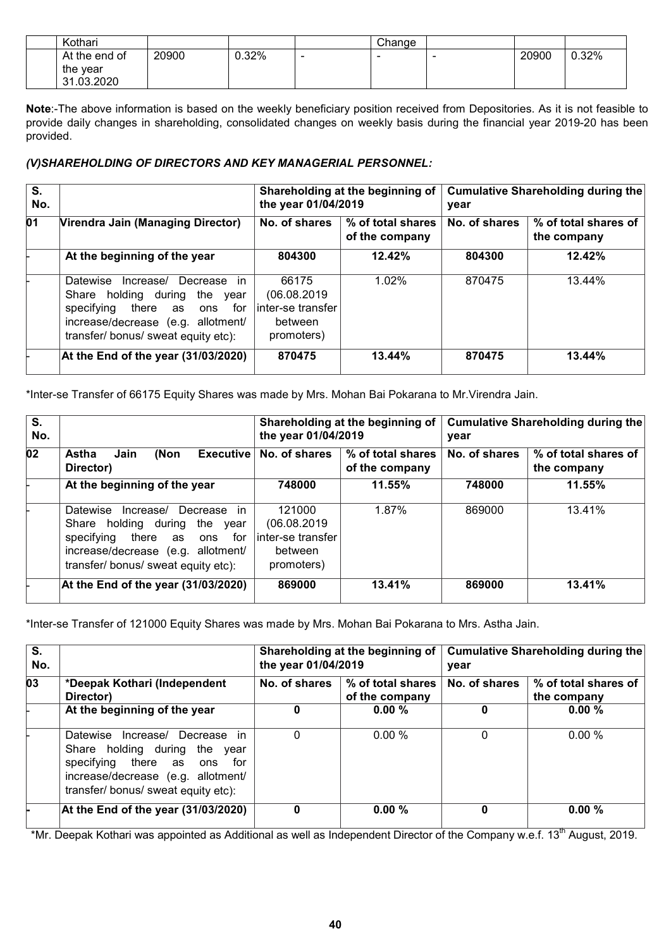| Kothari       |       |          |                          | Change |       |       |
|---------------|-------|----------|--------------------------|--------|-------|-------|
| At the end of | 20900 | $J.32\%$ | $\overline{\phantom{0}}$ | -      | 20900 | 0.32% |
| the year      |       |          |                          |        |       |       |
| 31.03.2020    |       |          |                          |        |       |       |

**Note**:-The above information is based on the weekly beneficiary position received from Depositories. As it is not feasible to provide daily changes in shareholding, consolidated changes on weekly basis during the financial year 2019-20 has been provided.

## *(V)SHAREHOLDING OF DIRECTORS AND KEY MANAGERIAL PERSONNEL:*

| S.<br>No. |                                                                                                                                                                                                            | Shareholding at the beginning of<br>the year 01/04/2019             |                                     | Cumulative Shareholding during the<br>year |                                     |  |
|-----------|------------------------------------------------------------------------------------------------------------------------------------------------------------------------------------------------------------|---------------------------------------------------------------------|-------------------------------------|--------------------------------------------|-------------------------------------|--|
| 01        | <b>Virendra Jain (Managing Director)</b>                                                                                                                                                                   | No. of shares                                                       | % of total shares<br>of the company | No. of shares                              | % of total shares of<br>the company |  |
|           | At the beginning of the year                                                                                                                                                                               | 804300                                                              | 12.42%                              | 804300                                     | 12.42%                              |  |
|           | Datewise<br><i>in</i><br>Increase/<br>Decrease<br>Share holding during<br>the year<br>specifying there<br>for<br>as<br>ons<br>increase/decrease (e.g.<br>allotment/<br>transfer/ bonus/ sweat equity etc): | 66175<br>(06.08.2019<br>linter-se transfer<br>between<br>promoters) | 1.02%                               | 870475                                     | 13.44%                              |  |
|           | At the End of the year $(31/03/2020)$                                                                                                                                                                      | 870475                                                              | 13.44%                              | 870475                                     | 13.44%                              |  |

\*Inter-se Transfer of 66175 Equity Shares was made by Mrs. Mohan Bai Pokarana to Mr.Virendra Jain.

| S.<br>No. |                                                                                                                                                                                                      | the year 01/04/2019                                                 | Shareholding at the beginning of    | Cumulative Shareholding during the<br>year |                                     |  |
|-----------|------------------------------------------------------------------------------------------------------------------------------------------------------------------------------------------------------|---------------------------------------------------------------------|-------------------------------------|--------------------------------------------|-------------------------------------|--|
| 02        | Astha<br>(Non<br>Jain<br>Director)                                                                                                                                                                   | Executive   No. of shares                                           | % of total shares<br>of the company | No. of shares                              | % of total shares of<br>the company |  |
|           | At the beginning of the year                                                                                                                                                                         | 748000                                                              | 11.55%                              | 748000                                     | 11.55%                              |  |
|           | Datewise<br>Increase/<br>Decrease<br>in.<br>Share holding during<br>the year<br>specifying there<br>for<br>as<br>ons<br>increase/decrease (e.g.<br>allotment/<br>transfer/ bonus/ sweat equity etc): | 121000<br>(06.08.2019<br>inter-se transfer<br>between<br>promoters) | 1.87%                               | 869000                                     | 13.41%                              |  |
|           | At the End of the year $(31/03/2020)$                                                                                                                                                                | 869000                                                              | 13.41%                              | 869000                                     | 13.41%                              |  |

\*Inter-se Transfer of 121000 Equity Shares was made by Mrs. Mohan Bai Pokarana to Mrs. Astha Jain.

| $\overline{\mathsf{s}}$ .<br>No. |                                                                                                                                                                                      | the year 01/04/2019 | Shareholding at the beginning of    | Cumulative Shareholding during the<br>year |                                     |
|----------------------------------|--------------------------------------------------------------------------------------------------------------------------------------------------------------------------------------|---------------------|-------------------------------------|--------------------------------------------|-------------------------------------|
| $\overline{03}$                  | *Deepak Kothari (Independent<br>Director)                                                                                                                                            | No. of shares       | % of total shares<br>of the company | No. of shares                              | % of total shares of<br>the company |
|                                  | At the beginning of the year                                                                                                                                                         | 0                   | $0.00 \%$                           |                                            | $0.00 \%$                           |
|                                  | in<br>Datewise<br>Increase/ Decrease<br>Share holding during the year<br>specifying there as ons<br>for<br>increase/decrease (e.g. allotment/<br>transfer/ bonus/ sweat equity etc): | 0                   | $0.00\%$                            |                                            | $0.00\%$                            |
|                                  | At the End of the year (31/03/2020)                                                                                                                                                  | 0                   | 0.00%                               |                                            | $0.00 \%$                           |

\*Mr. Deepak Kothari was appointed as Additional as well as Independent Director of the Company w.e.f. 13<sup>th</sup> August, 2019.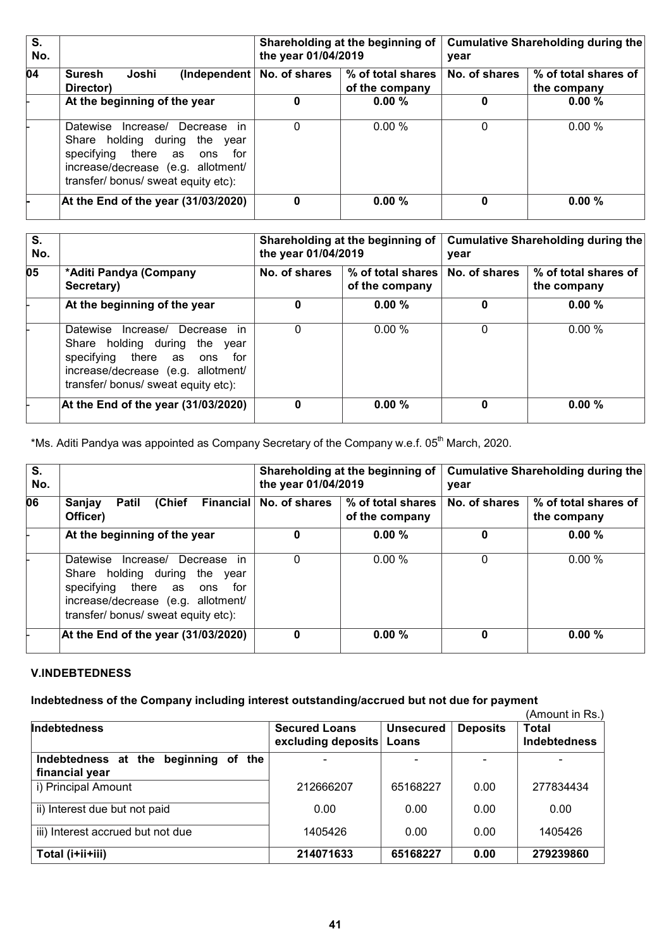| S.<br>No. |                                                                                                                                                                                               | Shareholding at the beginning of<br>the year 01/04/2019 |                                     | Cumulative Shareholding during the<br>year |                                     |  |
|-----------|-----------------------------------------------------------------------------------------------------------------------------------------------------------------------------------------------|---------------------------------------------------------|-------------------------------------|--------------------------------------------|-------------------------------------|--|
| 04        | Joshi<br><b>Suresh</b><br>Director)                                                                                                                                                           | (Independent $\vert$ No. of shares                      | % of total shares<br>of the company | No. of shares                              | % of total shares of<br>the company |  |
|           | At the beginning of the year                                                                                                                                                                  | 0                                                       | $0.00 \%$                           | 0                                          | $0.00 \%$                           |  |
|           | in<br>Increase/<br>Datewise<br>Decrease<br>Share holding during<br>the<br>vear<br>specifying there as ons<br>for<br>increase/decrease (e.g. allotment/<br>transfer/ bonus/ sweat equity etc): | $\Omega$                                                | $0.00\%$                            | $\Omega$                                   | $0.00\%$                            |  |
|           | At the End of the year (31/03/2020)                                                                                                                                                           | 0                                                       | 0.00%                               |                                            | 0.00%                               |  |

| S.<br>No. |                                                                                                                                                                                       | Shareholding at the beginning of<br>the year 01/04/2019 |                                     | Cumulative Shareholding during the<br>year |                                     |  |
|-----------|---------------------------------------------------------------------------------------------------------------------------------------------------------------------------------------|---------------------------------------------------------|-------------------------------------|--------------------------------------------|-------------------------------------|--|
| 05        | *Aditi Pandya (Company<br>Secretary)                                                                                                                                                  | No. of shares                                           | % of total shares<br>of the company | No. of shares                              | % of total shares of<br>the company |  |
|           | At the beginning of the year                                                                                                                                                          | 0                                                       | 0.00%                               | 0                                          | 0.00%                               |  |
|           | Datewise<br>Increase/ Decrease<br>in.<br>Share holding during the year<br>specifying there as ons<br>for<br>increase/decrease (e.g. allotment/<br>transfer/ bonus/ sweat equity etc): | $\Omega$                                                | 0.00%                               | 0                                          | $0.00\%$                            |  |
|           | At the End of the year (31/03/2020)                                                                                                                                                   | 0                                                       | $0.00 \%$                           | 0                                          | 0.00%                               |  |

\*Ms. Aditi Pandya was appointed as Company Secretary of the Company w.e.f. 05<sup>th</sup> March, 2020.

| S.<br>No. |                                                                                                                                                                                         | Shareholding at the beginning of<br>the year 01/04/2019 |                                     | Cumulative Shareholding during the<br>year |                                     |
|-----------|-----------------------------------------------------------------------------------------------------------------------------------------------------------------------------------------|---------------------------------------------------------|-------------------------------------|--------------------------------------------|-------------------------------------|
| 06        | (Chief<br>Sanjay<br><b>Patil</b><br>Officer)                                                                                                                                            | Financial   No. of shares                               | % of total shares<br>of the company | No. of shares                              | % of total shares of<br>the company |
|           | At the beginning of the year                                                                                                                                                            | 0                                                       | $0.00 \%$                           | 0                                          | 0.00%                               |
|           | Decrease in<br>Datewise<br>Increase/<br>Share holding during the year<br>specifying there as<br>for<br>ons<br>increase/decrease (e.g. allotment/<br>transfer/ bonus/ sweat equity etc): | $\Omega$                                                | $0.00\%$                            | 0                                          | $0.00\%$                            |
|           | At the End of the year $(31/03/2020)$                                                                                                                                                   | 0                                                       | 0.00%                               | 0                                          | $0.00 \%$                           |

# **V.INDEBTEDNESS**

# **Indebtedness of the Company including interest outstanding/accrued but not due for payment**

|                                         |                                            |                           |                 | (Amount in Rs.)                     |
|-----------------------------------------|--------------------------------------------|---------------------------|-----------------|-------------------------------------|
| Indebtedness                            | <b>Secured Loans</b><br>excluding deposits | <b>Unsecured</b><br>Loans | <b>Deposits</b> | <b>Total</b><br><b>Indebtedness</b> |
| beginning of the<br>Indebtedness at the |                                            |                           |                 |                                     |
| financial year                          |                                            |                           |                 |                                     |
| i) Principal Amount                     | 212666207                                  | 65168227                  | 0.00            | 277834434                           |
| ii) Interest due but not paid           | 0.00                                       | 0.00                      | 0.00            | 0.00                                |
| iii) Interest accrued but not due       | 1405426                                    | 0.00                      | 0.00            | 1405426                             |
| Total (i+ii+iii)                        | 214071633                                  | 65168227                  | 0.00            | 279239860                           |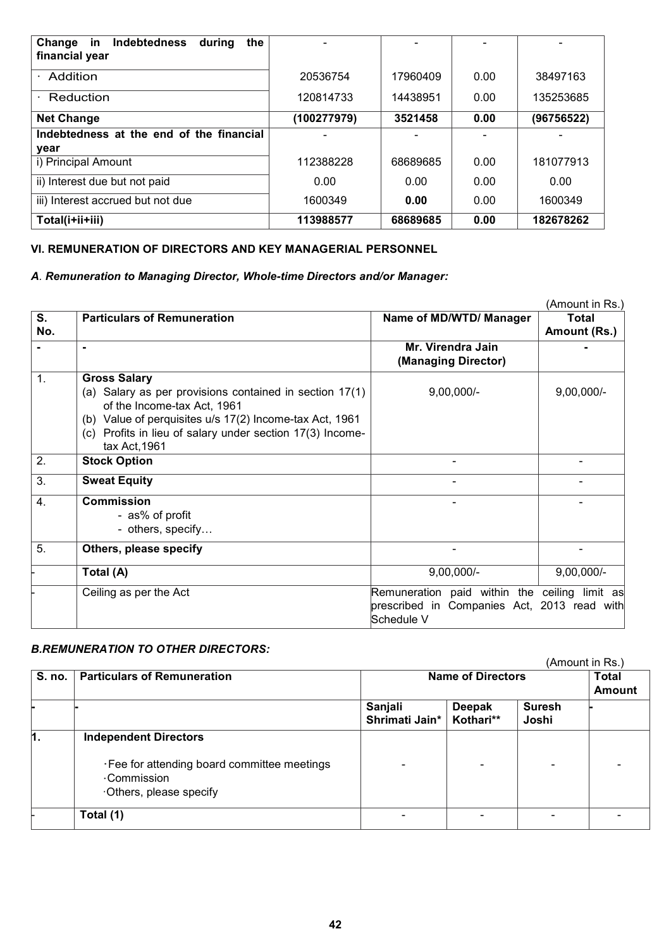| <b>Indebtedness</b><br>Change<br>in<br>during<br>the<br>financial year |             |          |      |            |
|------------------------------------------------------------------------|-------------|----------|------|------------|
| Addition                                                               | 20536754    | 17960409 | 0.00 | 38497163   |
| Reduction                                                              | 120814733   | 14438951 | 0.00 | 135253685  |
| <b>Net Change</b>                                                      | (100277979) | 3521458  | 0.00 | (96756522) |
| Indebtedness at the end of the financial                               |             |          |      |            |
| year                                                                   |             |          |      |            |
| i) Principal Amount                                                    | 112388228   | 68689685 | 0.00 | 181077913  |
| ii) Interest due but not paid                                          | 0.00        | 0.00     | 0.00 | 0.00       |
| iii) Interest accrued but not due                                      | 1600349     | 0.00     | 0.00 | 1600349    |
| Total(i+ii+iii)                                                        | 113988577   | 68689685 | 0.00 | 182678262  |

## **VI. REMUNERATION OF DIRECTORS AND KEY MANAGERIAL PERSONNEL**

### *A. Remuneration to Managing Director, Whole-time Directors and/or Manager:*

|     |                                                                                        |                                               | (Amount in Rs.) |
|-----|----------------------------------------------------------------------------------------|-----------------------------------------------|-----------------|
| S.  | <b>Particulars of Remuneration</b>                                                     | Name of MD/WTD/ Manager                       | <b>Total</b>    |
| No. |                                                                                        |                                               | Amount (Rs.)    |
|     | $\blacksquare$                                                                         | Mr. Virendra Jain<br>(Managing Director)      |                 |
|     |                                                                                        |                                               |                 |
| 1.  | <b>Gross Salary</b>                                                                    |                                               |                 |
|     | (a) Salary as per provisions contained in section 17(1)<br>of the Income-tax Act, 1961 | $9,00,000/-$                                  | $9,00,000/-$    |
|     | (b) Value of perquisites u/s 17(2) Income-tax Act, 1961                                |                                               |                 |
|     | (c) Profits in lieu of salary under section 17(3) Income-                              |                                               |                 |
|     | tax Act, 1961                                                                          |                                               |                 |
| 2.  | <b>Stock Option</b>                                                                    |                                               |                 |
|     |                                                                                        |                                               |                 |
| 3.  | <b>Sweat Equity</b>                                                                    |                                               |                 |
| 4.  | <b>Commission</b>                                                                      |                                               |                 |
|     | - as% of profit                                                                        |                                               |                 |
|     | - others, specify                                                                      |                                               |                 |
| 5.  | Others, please specify                                                                 |                                               |                 |
|     | Total (A)                                                                              | $9,00,000/-$                                  | $9,00,000/-$    |
|     | Ceiling as per the Act                                                                 | Remuneration paid within the ceiling limit as |                 |
|     |                                                                                        | prescribed in Companies Act, 2013 read with   |                 |
|     |                                                                                        | Schedule V                                    |                 |

# *B.REMUNERATION TO OTHER DIRECTORS:*

|        |                                                                              |                           |                        |                        | (Amount in Rs.) |
|--------|------------------------------------------------------------------------------|---------------------------|------------------------|------------------------|-----------------|
| S. no. | <b>Particulars of Remuneration</b>                                           | <b>Name of Directors</b>  | Total<br><b>Amount</b> |                        |                 |
|        |                                                                              | Sanjali<br>Shrimati Jain* | Deepak<br>Kothari**    | <b>Suresh</b><br>Joshi |                 |
| 1.     | <b>Independent Directors</b><br>· Fee for attending board committee meetings |                           |                        |                        |                 |
|        | Commission<br>Others, please specify                                         |                           |                        |                        |                 |
|        | Total (1)                                                                    |                           |                        |                        |                 |